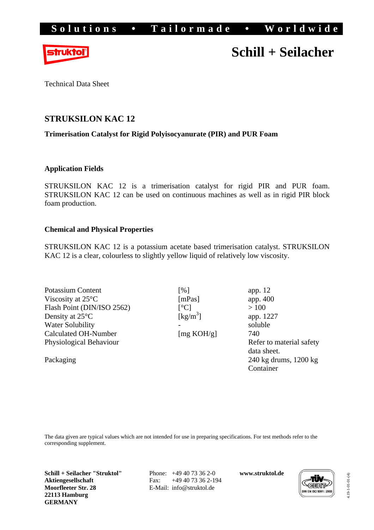

# **Schill + Seilacher**

Technical Data Sheet

# **STRUKSILON KAC 12**

## **Trimerisation Catalyst for Rigid Polyisocyanurate (PIR) and PUR Foam**

### **Application Fields**

STRUKSILON KAC 12 is a trimerisation catalyst for rigid PIR and PUR foam. STRUKSILON KAC 12 can be used on continuous machines as well as in rigid PIR block foam production.

### **Chemical and Physical Properties**

STRUKSILON KAC 12 is a potassium acetate based trimerisation catalyst. STRUKSILON KAC 12 is a clear, colourless to slightly yellow liquid of relatively low viscosity.

| <b>Potassium Content</b>    | [%]                            | app. $12$                                 |
|-----------------------------|--------------------------------|-------------------------------------------|
| Viscosity at $25^{\circ}$ C | [mPas]                         | app. 400                                  |
| Flash Point (DIN/ISO 2562)  | $\lceil{^{\circ}C}\rceil$      | >100                                      |
| Density at $25^{\circ}$ C   | $\left[\mathrm{kg/m}^3\right]$ | app. 1227                                 |
| <b>Water Solubility</b>     |                                | soluble                                   |
| <b>Calculated OH-Number</b> | [mg KOH/g]                     | 740                                       |
| Physiological Behaviour     |                                | Refer to material safety                  |
|                             |                                | data sheet.                               |
| Packaging                   |                                | $240 \text{ kg}$ drums, $1200 \text{ kg}$ |
|                             |                                | Container                                 |

The data given are typical values which are not intended for use in preparing specifications. For test methods refer to the corresponding supplement.

**Schill + Seilacher "Struktol" Aktiengesellschaft Moorfleeter Str. 28 22113 Hamburg GERMANY** 

 Phone: +49 40 73 36 2-0 Fax: +49 40 73 36 2-194 E-Mail: info@struktol.de

**www.struktol.de** 



4.19-1-01-01-(4) 4.19-1-01-01-(4